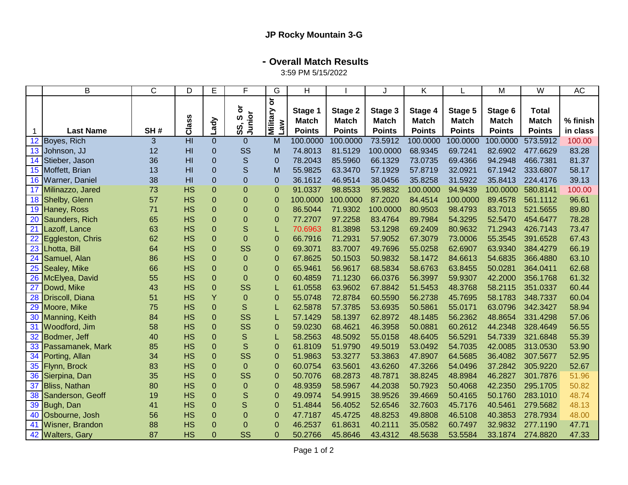## **- Overall Match Results**

3:59 PM 5/15/2022

|                 | B                    | C   | D               | Ε              | F                | G              | Н                       |                         |                         | Κ                       |                         | M                       | W                            | <b>AC</b> |
|-----------------|----------------------|-----|-----------------|----------------|------------------|----------------|-------------------------|-------------------------|-------------------------|-------------------------|-------------------------|-------------------------|------------------------------|-----------|
|                 |                      |     | Class           |                | ŏ<br>Junior<br>ທ | ŏ<br>Military  | Stage 1<br><b>Match</b> | Stage 2<br><b>Match</b> | Stage 3<br><b>Match</b> | Stage 4<br><b>Match</b> | Stage 5<br><b>Match</b> | Stage 6<br><b>Match</b> | <b>Total</b><br><b>Match</b> | % finish  |
| -1              | <b>Last Name</b>     | SH# |                 | Lady           | n,<br>ທ          | Law            | <b>Points</b>           | <b>Points</b>           | <b>Points</b>           | <b>Points</b>           | <b>Points</b>           | <b>Points</b>           | <b>Points</b>                | in class  |
|                 | 12 Boyes, Rich       | 3   | $\overline{H}$  | $\overline{0}$ | $\mathbf{0}$     | M              | 100.0000                | 100.0000                | 73.5912                 | 100.0000                | 100.0000                | 100.0000                | 573.5912                     | 100.00    |
|                 | 13 Johnson, JJ       | 12  | H <sub>l</sub>  | 0              | SS               | M              | 74.8013                 | 81.5129                 | 100.0000                | 68.9345                 | 69.7241                 | 82.6902                 | 477.6629                     | 83.28     |
| 14              | Stieber, Jason       | 36  | HI              | $\mathbf 0$    | S                | $\Omega$       | 78.2043                 | 85.5960                 | 66.1329                 | 73.0735                 | 69.4366                 | 94.2948                 | 466.7381                     | 81.37     |
|                 | 15 Moffett, Brian    | 13  | H <sub>l</sub>  | $\mathbf 0$    | $\mathsf S$      | M              | 55.9825                 | 63.3470                 | 57.1929                 | 57.8719                 | 32.0921                 | 67.1942                 | 333.6807                     | 58.17     |
|                 | 16 Warner, Daniel    | 38  | H <sub>II</sub> | $\mathbf 0$    | $\mathbf 0$      | $\mathbf 0$    | 36.1612                 | 46.9514                 | 38.0456                 | 35.8258                 | 31.5922                 | 35.8413                 | 224.4176                     | 39.13     |
| 17              | Milinazzo, Jared     | 73  | <b>HS</b>       | $\mathbf 0$    | $\mathbf 0$      | $\Omega$       | 91.0337                 | 98.8533                 | 95.9832                 | 100.0000                | 94.9439                 | 100.0000                | 580.8141                     | 100.00    |
|                 | 18 Shelby, Glenn     | 57  | <b>HS</b>       | $\mathbf 0$    | $\mathbf 0$      | $\mathbf 0$    | 100.0000                | 100.0000                | 87.2020                 | 84.4514                 | 100.0000                | 89.4578                 | 561.1112                     | 96.61     |
|                 | 19 Haney, Ross       | 71  | <b>HS</b>       | $\mathbf 0$    | $\mathbf 0$      | 0              | 86.5044                 | 71.9302                 | 100.0000                | 80.9503                 | 98.4793                 | 83.7013                 | 521.5655                     | 89.80     |
| 20              | Saunders, Rich       | 65  | <b>HS</b>       | $\pmb{0}$      | $\mathbf 0$      | 0              | 77.2707                 | 97.2258                 | 83.4764                 | 89.7984                 | 54.3295                 | 52.5470                 | 454.6477                     | 78.28     |
| 21              | Lazoff, Lance        | 63  | <b>HS</b>       | 0              | S                |                | 70.6963                 | 81.3898                 | 53.1298                 | 69.2409                 | 80.9632                 | 71.2943                 | 426.7143                     | 73.47     |
| $\overline{22}$ | Eggleston, Chris     | 62  | <b>HS</b>       | $\mathbf 0$    | $\Omega$         | $\Omega$       | 66.7916                 | 71.2931                 | 57.9052                 | 67.3079                 | 73.0006                 | 55.3545                 | 391.6528                     | 67.43     |
| 23              | Lhotta, Bill         | 64  | <b>HS</b>       | $\mathbf 0$    | SS               | $\mathbf 0$    | 69.3071                 | 83.7007                 | 49.7696                 | 55.0258                 | 62.6907                 | 63.9340                 | 384.4279                     | 66.19     |
| 24              | Samuel, Alan         | 86  | <b>HS</b>       | $\mathbf 0$    | $\mathbf 0$      | $\Omega$       | 67.8625                 | 50.1503                 | 50.9832                 | 58.1472                 | 84.6613                 | 54.6835                 | 366.4880                     | 63.10     |
| 25              | Sealey, Mike         | 66  | <b>HS</b>       | $\mathbf 0$    | 0                | $\overline{0}$ | 65.9461                 | 56.9617                 | 68.5834                 | 58.6763                 | 63.8455                 | 50.0281                 | 364.0411                     | 62.68     |
|                 | 26 McElyea, David    | 55  | <b>HS</b>       | $\mathbf 0$    | $\mathbf 0$      | $\overline{0}$ | 60.4859                 | 71.1230                 | 66.0376                 | 56.3997                 | 59.9307                 | 42.2000                 | 356.1768                     | 61.32     |
| $\overline{27}$ | Dowd, Mike           | 43  | <b>HS</b>       | $\mathbf 0$    | SS               | L              | 61.0558                 | 63.9602                 | 67.8842                 | 51.5453                 | 48.3768                 | 58.2115                 | 351.0337                     | 60.44     |
|                 | 28 Driscoll, Diana   | 51  | <b>HS</b>       | Y              | $\Omega$         | $\Omega$       | 55.0748                 | 72.8784                 | 60.5590                 | 56.2738                 | 45.7695                 | 58.1783                 | 348.7337                     | 60.04     |
|                 | 29 Moore, Mike       | 75  | <b>HS</b>       | $\mathbf 0$    | S                |                | 62.5878                 | 57.3785                 | 53.6935                 | 50.5861                 | 55.0171                 | 63.0796                 | 342.3427                     | 58.94     |
|                 | 30 Manning, Keith    | 84  | <b>HS</b>       | $\mathbf 0$    | SS               |                | 57.1429                 | 58.1397                 | 62.8972                 | 48.1485                 | 56.2362                 | 48.8654                 | 331.4298                     | 57.06     |
| 31              | Woodford, Jim        | 58  | <b>HS</b>       | $\mathbf 0$    | SS               | 0              | 59.0230                 | 68.4621                 | 46.3958                 | 50.0881                 | 60.2612                 | 44.2348                 | 328.4649                     | 56.55     |
| 32              | Bodmer, Jeff         | 40  | <b>HS</b>       | $\mathbf 0$    | S                | L              | 58.2563                 | 48.5092                 | 55.0158                 | 48.6405                 | 56.5291                 | 54.7339                 | 321.6848                     | 55.39     |
| 33              | Passamanek, Mark     | 85  | <b>HS</b>       | $\mathbf 0$    | $\mathbf S$      | 0              | 61.8109                 | 51.9790                 | 49.5019                 | 53.0492                 | 54.7035                 | 42.0085                 | 313.0530                     | 53.90     |
| 34              | Porting, Allan       | 34  | <b>HS</b>       | $\mathbf 0$    | SS               | 0              | 51.9863                 | 53.3277                 | 53.3863                 | 47.8907                 | 64.5685                 | 36.4082                 | 307.5677                     | 52.95     |
| 35              | Flynn, Brock         | 83  | <b>HS</b>       | $\mathbf 0$    | 0                | 0              | 60.0754                 | 63.5601                 | 43.6260                 | 47.3266                 | 54.0496                 | 37.2842                 | 305.9220                     | 52.67     |
| 36              | Sierpina, Dan        | 35  | <b>HS</b>       | $\overline{0}$ | SS               | $\Omega$       | 50.7076                 | 68.2873                 | 48.7871                 | 38.8245                 | 48.8984                 | 46.2827                 | 301.7876                     | 51.96     |
| 37              | <b>Bliss, Nathan</b> | 80  | <b>HS</b>       | 0              | $\Omega$         | $\Omega$       | 48.9359                 | 58.5967                 | 44.2038                 | 50.7923                 | 50.4068                 | 42.2350                 | 295.1705                     | 50.82     |
| 38              | Sanderson, Geoff     | 19  | <b>HS</b>       | $\mathbf 0$    | S                | $\Omega$       | 49.0974                 | 54.9915                 | 38.9526                 | 39.4669                 | 50.4165                 | 50.1760                 | 283.1010                     | 48.74     |
|                 | 39 Bugh, Dan         | 41  | <b>HS</b>       | $\mathbf 0$    | S                | $\Omega$       | 51.4844                 | 56.4052                 | 52.6546                 | 32.7603                 | 45.7176                 | 40.5461                 | 279.5682                     | 48.13     |
| 40              | Osbourne, Josh       | 56  | <b>HS</b>       | $\mathbf 0$    | $\overline{0}$   | 0              | 47.7187                 | 45.4725                 | 48.8253                 | 49.8808                 | 46.5108                 | 40.3853                 | 278.7934                     | 48.00     |
|                 | 41 Wisner, Brandon   | 88  | <b>HS</b>       | $\mathbf 0$    | 0                | 0              | 46.2537                 | 61.8631                 | 40.2111                 | 35.0582                 | 60.7497                 | 32.9832                 | 277.1190                     | 47.71     |
|                 | 42 Walters, Gary     | 87  | <b>HS</b>       | 0              | SS               | 0              | 50.2766                 | 45.8646                 | 43.4312                 | 48.5638                 | 53.5584                 | 33.1874                 | 274.8820                     | 47.33     |